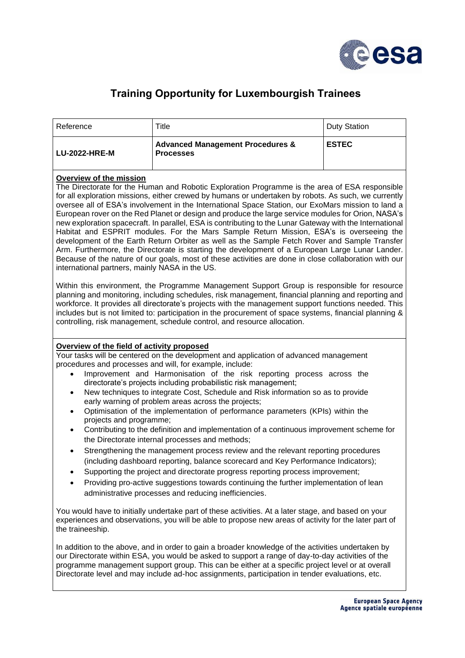

## **Training Opportunity for Luxembourgish Trainees**

| Reference            | Title                                                           | Duty Station |
|----------------------|-----------------------------------------------------------------|--------------|
| <b>LU-2022-HRE-M</b> | <b>Advanced Management Procedures &amp;</b><br><b>Processes</b> | <b>ESTEC</b> |

## **Overview of the mission**

The Directorate for the Human and Robotic Exploration Programme is the area of ESA responsible for all exploration missions, either crewed by humans or undertaken by robots. As such, we currently oversee all of ESA's involvement in the International Space Station, our ExoMars mission to land a European rover on the Red Planet or design and produce the large service modules for Orion, NASA's new exploration spacecraft. In parallel, ESA is contributing to the Lunar Gateway with the International Habitat and ESPRIT modules. For the Mars Sample Return Mission, ESA's is overseeing the development of the Earth Return Orbiter as well as the Sample Fetch Rover and Sample Transfer Arm. Furthermore, the Directorate is starting the development of a European Large Lunar Lander. Because of the nature of our goals, most of these activities are done in close collaboration with our international partners, mainly NASA in the US.

Within this environment, the Programme Management Support Group is responsible for resource planning and monitoring, including schedules, risk management, financial planning and reporting and workforce. It provides all directorate's projects with the management support functions needed. This includes but is not limited to: participation in the procurement of space systems, financial planning & controlling, risk management, schedule control, and resource allocation.

## **Overview of the field of activity proposed**

Your tasks will be centered on the development and application of advanced management procedures and processes and will, for example, include:

- Improvement and Harmonisation of the risk reporting process across the directorate's projects including probabilistic risk management;
- New techniques to integrate Cost, Schedule and Risk information so as to provide early warning of problem areas across the projects;
- Optimisation of the implementation of performance parameters (KPIs) within the projects and programme;
- Contributing to the definition and implementation of a continuous improvement scheme for the Directorate internal processes and methods;
- Strengthening the management process review and the relevant reporting procedures (including dashboard reporting, balance scorecard and Key Performance Indicators);
- Supporting the project and directorate progress reporting process improvement;
- Providing pro-active suggestions towards continuing the further implementation of lean administrative processes and reducing inefficiencies.

You would have to initially undertake part of these activities. At a later stage, and based on your experiences and observations, you will be able to propose new areas of activity for the later part of the traineeship.

In addition to the above, and in order to gain a broader knowledge of the activities undertaken by our Directorate within ESA, you would be asked to support a range of day-to-day activities of the programme management support group. This can be either at a specific project level or at overall Directorate level and may include ad-hoc assignments, participation in tender evaluations, etc.